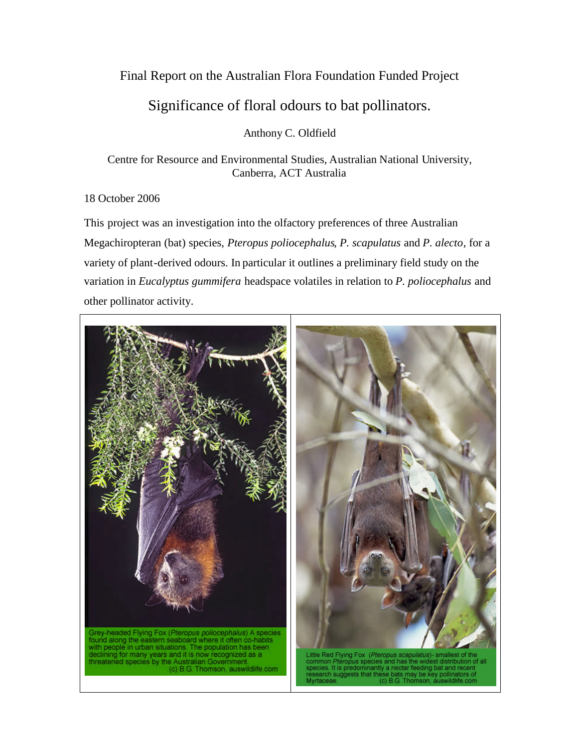## Final Report on the Australian Flora Foundation Funded Project

## Significance of floral odours to bat pollinators.

Anthony C. Oldfield

Centre for Resource and Environmental Studies, Australian National University, Canberra, ACT Australia

## 18 October 2006

This project was an investigation into the olfactory preferences of three Australian Megachiropteran (bat) species, *Pteropus poliocephalus*, *P. scapulatus* and *P. alecto*, for a variety of plant-derived odours. In particular it outlines a preliminary field study on the variation in *Eucalyptus gummifera* headspace volatiles in relation to *P. poliocephalus* and other pollinator activity.

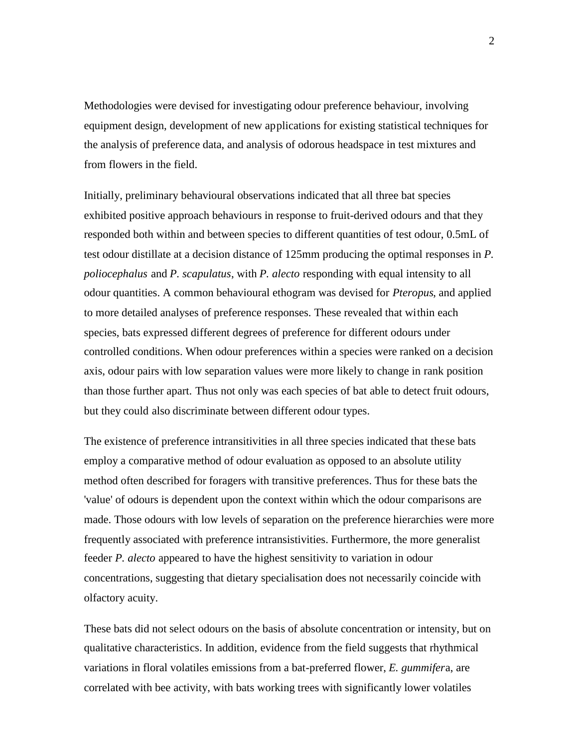Methodologies were devised for investigating odour preference behaviour, involving equipment design, development of new applications for existing statistical techniques for the analysis of preference data, and analysis of odorous headspace in test mixtures and from flowers in the field.

Initially, preliminary behavioural observations indicated that all three bat species exhibited positive approach behaviours in response to fruit-derived odours and that they responded both within and between species to different quantities of test odour, 0.5mL of test odour distillate at a decision distance of 125mm producing the optimal responses in *P. poliocephalus* and *P. scapulatus*, with *P. alecto* responding with equal intensity to all odour quantities. A common behavioural ethogram was devised for *Pteropus*, and applied to more detailed analyses of preference responses. These revealed that within each species, bats expressed different degrees of preference for different odours under controlled conditions. When odour preferences within a species were ranked on a decision axis, odour pairs with low separation values were more likely to change in rank position than those further apart. Thus not only was each species of bat able to detect fruit odours, but they could also discriminate between different odour types.

The existence of preference intransitivities in all three species indicated that these bats employ a comparative method of odour evaluation as opposed to an absolute utility method often described for foragers with transitive preferences. Thus for these bats the 'value' of odours is dependent upon the context within which the odour comparisons are made. Those odours with low levels of separation on the preference hierarchies were more frequently associated with preference intransistivities. Furthermore, the more generalist feeder *P. alecto* appeared to have the highest sensitivity to variation in odour concentrations, suggesting that dietary specialisation does not necessarily coincide with olfactory acuity.

These bats did not select odours on the basis of absolute concentration or intensity, but on qualitative characteristics. In addition, evidence from the field suggests that rhythmical variations in floral volatiles emissions from a bat-preferred flower, *E. gummifer*a, are correlated with bee activity, with bats working trees with significantly lower volatiles